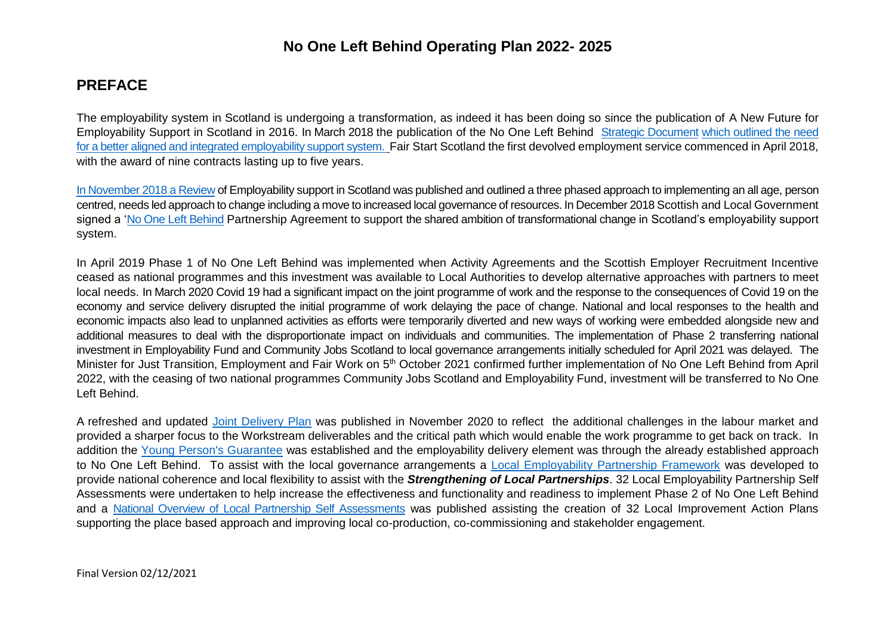## **PREFACE**

The employability system in Scotland is undergoing a transformation, as indeed it has been doing so since the publication of A New Future for Employability Support in Scotland in 2016. In March 2018 the publication of the No One Left Behind [Strategic Document](https://www.employabilityinscotland.com/media/bidji54o/no_one_left_behind_-_next_steps_for_employability_support.pdf) which outlined the need for a better aligned and integrated employability support system. Fair Start Scotland the first devolved employment service commenced in April 2018, with the award of nine contracts lasting up to five years.

In November 2018 a [Review](https://www.employabilityinscotland.com/media/yxfl2xtn/no-one-left-behind-review-employability-services.pdf) of Employability support in Scotland was published and outlined a three phased approach to implementing an all age, person centred, needs led approach to change including a move to increased local governance of resources. In December 2018 Scottish and Local Government signed a ['No One Left Behind](https://www.employabilityinscotland.com/policy/no-one-left-behind/) Partnership Agreement to support the shared ambition of transformational change in Scotland's employability support system.

In April 2019 Phase 1 of No One Left Behind was implemented when Activity Agreements and the Scottish Employer Recruitment Incentive ceased as national programmes and this investment was available to Local Authorities to develop alternative approaches with partners to meet local needs. In March 2020 Covid 19 had a significant impact on the joint programme of work and the response to the consequences of Covid 19 on the economy and service delivery disrupted the initial programme of work delaying the pace of change. National and local responses to the health and economic impacts also lead to unplanned activities as efforts were temporarily diverted and new ways of working were embedded alongside new and additional measures to deal with the disproportionate impact on individuals and communities. The implementation of Phase 2 transferring national investment in Employability Fund and Community Jobs Scotland to local governance arrangements initially scheduled for April 2021 was delayed. The Minister for Just Transition, Employment and Fair Work on 5<sup>th</sup> October 2021 confirmed further implementation of No One Left Behind from April 2022, with the ceasing of two national programmes Community Jobs Scotland and Employability Fund, investment will be transferred to No One Left Behind.

A refreshed and updated [Joint Delivery Plan](https://www.gov.scot/binaries/content/documents/govscot/publications/strategy-plan/2020/11/no-one-left-behind-delivery-plan/documents/no-one-left-behind-delivery-plan/no-one-left-behind-delivery-plan/govscot%3Adocument/no-one-left-behind-delivery-plan.pdf) was published in November 2020 to reflect the additional challenges in the labour market and provided a sharper focus to the Workstream deliverables and the critical path which would enable the work programme to get back on track. In addition the [Young Person's Guarantee](https://www.gov.scot/binaries/content/documents/govscot/publications/strategy-plan/2020/09/youth-guarantee-no-one-left-behind-initial-report2/documents/young-person-guarantee-no-one-left-behind-initial-report/young-person-guarantee-no-one-left-behind-initial-report/govscot%3Adocument/young-person-guarantee-no-one-left-behind-initial-report.pdf) was established and the employability delivery element was through the already established approach to No One Left Behind. To assist with the local governance arrangements a [Local Employability Partnership Framework](http://www.employabilityinscotland.com/media/1242559/local_employability_partnership_framework__including_delivery_of_young_person_s_guarantee_.pdf) was developed to provide national coherence and local flexibility to assist with the *Strengthening of Local Partnerships*. 32 Local Employability Partnership Self Assessments were undertaken to help increase the effectiveness and functionality and readiness to implement Phase 2 of No One Left Behind and a [National Overview of Local Partnership Self Assessments](https://www.employabilityinscotland.com/media/logpjqyo/local_employability_partnership_-_self_assessment_national_overview.pdf) was published assisting the creation of 32 Local Improvement Action Plans supporting the place based approach and improving local co-production, co-commissioning and stakeholder engagement.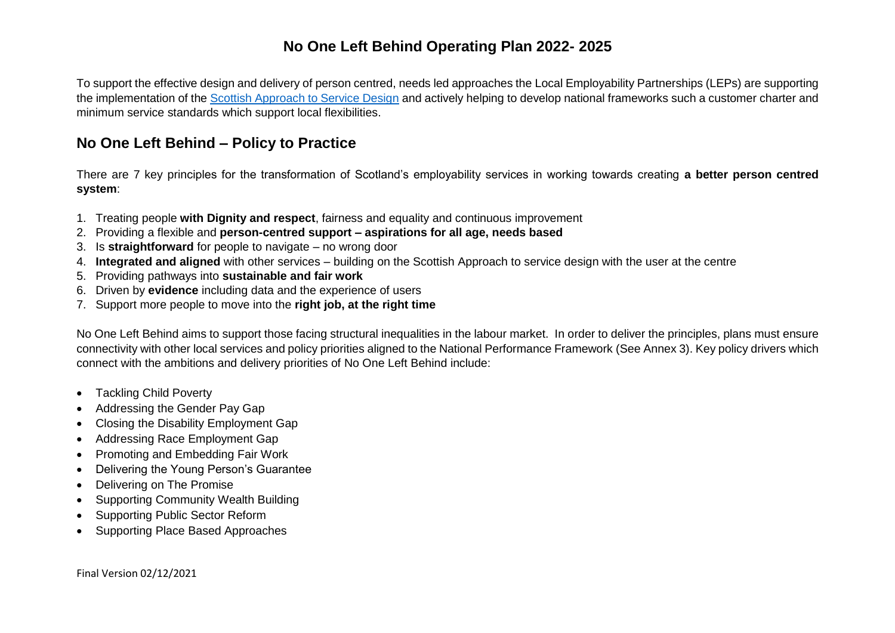To support the effective design and delivery of person centred, needs led approaches the Local Employability Partnerships (LEPs) are supporting the implementation of the [Scottish Approach to Service Design](https://www.gov.scot/publications/the-scottish-approach-to-service-design/) and actively helping to develop national frameworks such a customer charter and minimum service standards which support local flexibilities.

## **No One Left Behind – Policy to Practice**

There are 7 key principles for the transformation of Scotland's employability services in working towards creating **a better person centred system**:

- 1. Treating people **with Dignity and respect**, fairness and equality and continuous improvement
- 2. Providing a flexible and **person-centred support – aspirations for all age, needs based**
- 3. Is **straightforward** for people to navigate no wrong door
- 4. **Integrated and aligned** with other services building on the Scottish Approach to service design with the user at the centre
- 5. Providing pathways into **sustainable and fair work**
- 6. Driven by **evidence** including data and the experience of users
- 7. Support more people to move into the **right job, at the right time**

No One Left Behind aims to support those facing structural inequalities in the labour market. In order to deliver the principles, plans must ensure connectivity with other local services and policy priorities aligned to the National Performance Framework (See Annex 3). Key policy drivers which connect with the ambitions and delivery priorities of No One Left Behind include:

- Tackling Child Poverty
- Addressing the Gender Pay Gap
- Closing the Disability Employment Gap
- Addressing Race Employment Gap
- Promoting and Embedding Fair Work
- Delivering the Young Person's Guarantee
- Delivering on The Promise
- Supporting Community Wealth Building
- Supporting Public Sector Reform
- Supporting Place Based Approaches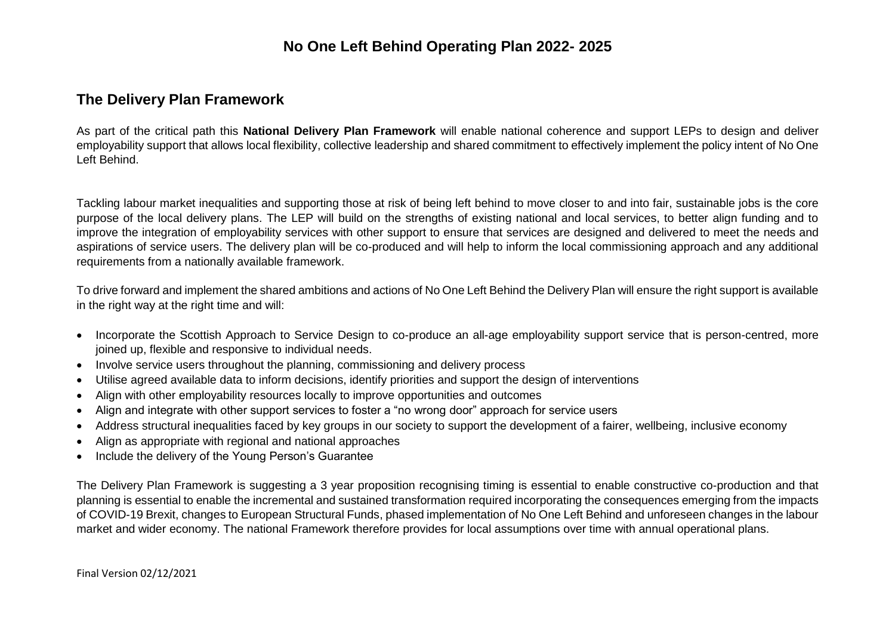## **The Delivery Plan Framework**

As part of the critical path this **National Delivery Plan Framework** will enable national coherence and support LEPs to design and deliver employability support that allows local flexibility, collective leadership and shared commitment to effectively implement the policy intent of No One Left Behind.

Tackling labour market inequalities and supporting those at risk of being left behind to move closer to and into fair, sustainable jobs is the core purpose of the local delivery plans. The LEP will build on the strengths of existing national and local services, to better align funding and to improve the integration of employability services with other support to ensure that services are designed and delivered to meet the needs and aspirations of service users. The delivery plan will be co-produced and will help to inform the local commissioning approach and any additional requirements from a nationally available framework.

To drive forward and implement the shared ambitions and actions of No One Left Behind the Delivery Plan will ensure the right support is available in the right way at the right time and will:

- Incorporate the Scottish Approach to Service Design to co-produce an all-age employability support service that is person-centred, more joined up, flexible and responsive to individual needs.
- Involve service users throughout the planning, commissioning and delivery process
- Utilise agreed available data to inform decisions, identify priorities and support the design of interventions
- Align with other employability resources locally to improve opportunities and outcomes
- Align and integrate with other support services to foster a "no wrong door" approach for service users
- Address structural inequalities faced by key groups in our society to support the development of a fairer, wellbeing, inclusive economy
- Align as appropriate with regional and national approaches
- Include the delivery of the Young Person's Guarantee

The Delivery Plan Framework is suggesting a 3 year proposition recognising timing is essential to enable constructive co-production and that planning is essential to enable the incremental and sustained transformation required incorporating the consequences emerging from the impacts of COVID-19 Brexit, changes to European Structural Funds, phased implementation of No One Left Behind and unforeseen changes in the labour market and wider economy. The national Framework therefore provides for local assumptions over time with annual operational plans.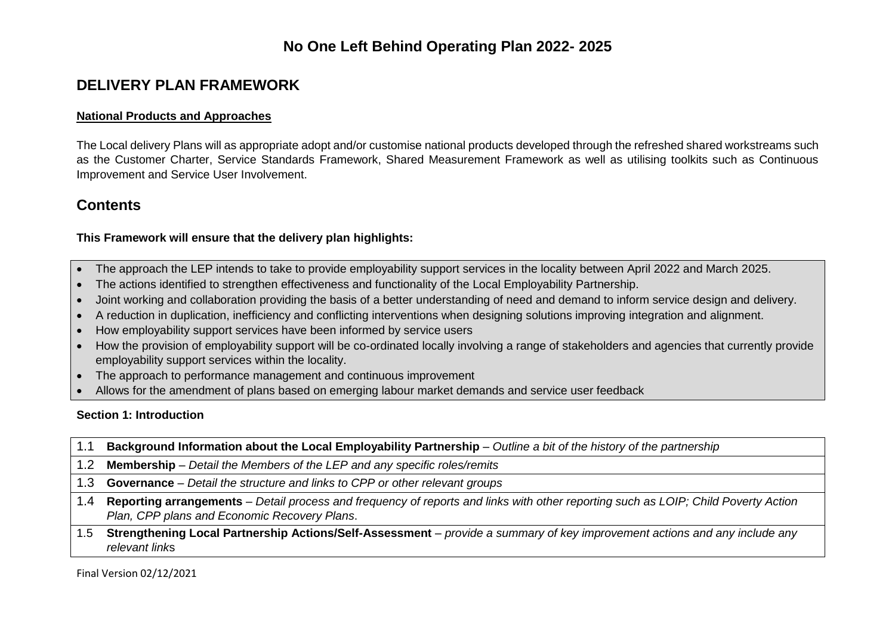## **DELIVERY PLAN FRAMEWORK**

#### **National Products and Approaches**

The Local delivery Plans will as appropriate adopt and/or customise national products developed through the refreshed shared workstreams such as the Customer Charter, Service Standards Framework, Shared Measurement Framework as well as utilising toolkits such as Continuous Improvement and Service User Involvement.

### **Contents**

#### **This Framework will ensure that the delivery plan highlights:**

- The approach the LEP intends to take to provide employability support services in the locality between April 2022 and March 2025.
- The actions identified to strengthen effectiveness and functionality of the Local Employability Partnership.
- Joint working and collaboration providing the basis of a better understanding of need and demand to inform service design and delivery.
- A reduction in duplication, inefficiency and conflicting interventions when designing solutions improving integration and alignment.
- How employability support services have been informed by service users
- How the provision of employability support will be co-ordinated locally involving a range of stakeholders and agencies that currently provide employability support services within the locality.
- The approach to performance management and continuous improvement
- Allows for the amendment of plans based on emerging labour market demands and service user feedback

#### **Section 1: Introduction**

- 1.1 **Background Information about the Local Employability Partnership** *Outline a bit of the history of the partnership*
- 1.2 **Membership** *Detail the Members of the LEP and any specific roles/remits*
- 1.3 **Governance** *Detail the structure and links to CPP or other relevant groups*
- 1.4 **Reporting arrangements** *– Detail process and frequency of reports and links with other reporting such as LOIP; Child Poverty Action Plan, CPP plans and Economic Recovery Plans*.
- 1.5 **Strengthening Local Partnership Actions/Self-Assessment** *provide a summary of key improvement actions and any include any relevant link*s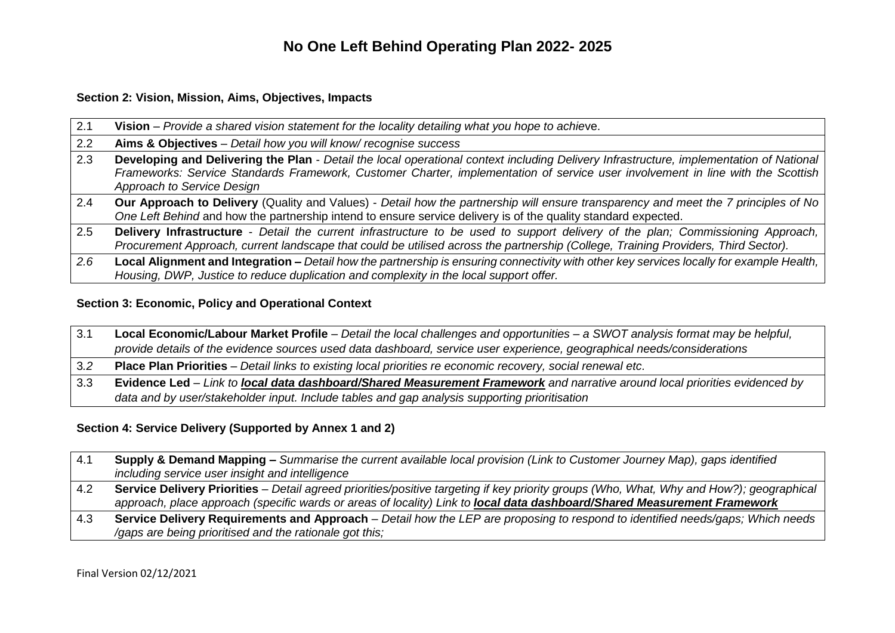#### **Section 2: Vision, Mission, Aims, Objectives, Impacts**

| 2.1 | Vision – Provide a shared vision statement for the locality detailing what you hope to achieve.                                                                                                                                                                                                          |
|-----|----------------------------------------------------------------------------------------------------------------------------------------------------------------------------------------------------------------------------------------------------------------------------------------------------------|
| 2.2 | Aims & Objectives - Detail how you will know/recognise success                                                                                                                                                                                                                                           |
| 2.3 | Developing and Delivering the Plan - Detail the local operational context including Delivery Infrastructure, implementation of National<br>Frameworks: Service Standards Framework, Customer Charter, implementation of service user involvement in line with the Scottish<br>Approach to Service Design |
| 2.4 | Our Approach to Delivery (Quality and Values) - Detail how the partnership will ensure transparency and meet the 7 principles of No<br>One Left Behind and how the partnership intend to ensure service delivery is of the quality standard expected.                                                    |
| 2.5 | Delivery Infrastructure - Detail the current infrastructure to be used to support delivery of the plan; Commissioning Approach,<br>Procurement Approach, current landscape that could be utilised across the partnership (College, Training Providers, Third Sector).                                    |
| 2.6 | Local Alignment and Integration - Detail how the partnership is ensuring connectivity with other key services locally for example Health,  <br>Housing, DWP, Justice to reduce duplication and complexity in the local support offer.                                                                    |

### **Section 3: Economic, Policy and Operational Context**

| 3.1 | Local Economic/Labour Market Profile - Detail the local challenges and opportunities - a SWOT analysis format may be helpful, |
|-----|-------------------------------------------------------------------------------------------------------------------------------|
|     | provide details of the evidence sources used data dashboard, service user experience, geographical needs/considerations       |
| 3.2 | Place Plan Priorities - Detail links to existing local priorities re economic recovery, social renewal etc.                   |
| 3.3 | Evidence Led - Link to local data dashboard/Shared Measurement Framework and narrative around local priorities evidenced by   |
|     | data and by user/stakeholder input. Include tables and gap analysis supporting prioritisation                                 |

#### **Section 4: Service Delivery (Supported by Annex 1 and 2)**

| 4.1 | Supply & Demand Mapping – Summarise the current available local provision (Link to Customer Journey Map), gaps identified<br>including service user insight and intelligence                                                                                                |
|-----|-----------------------------------------------------------------------------------------------------------------------------------------------------------------------------------------------------------------------------------------------------------------------------|
| 4.2 | Service Delivery Priorities – Detail agreed priorities/positive targeting if key priority groups (Who, What, Why and How?); geographical<br>approach, place approach (specific wards or areas of locality) Link to <b>local data dashboard/Shared Measurement Framework</b> |
| 4.3 | Service Delivery Requirements and Approach – Detail how the LEP are proposing to respond to identified needs/gaps; Which needs<br>/gaps are being prioritised and the rationale got this;                                                                                   |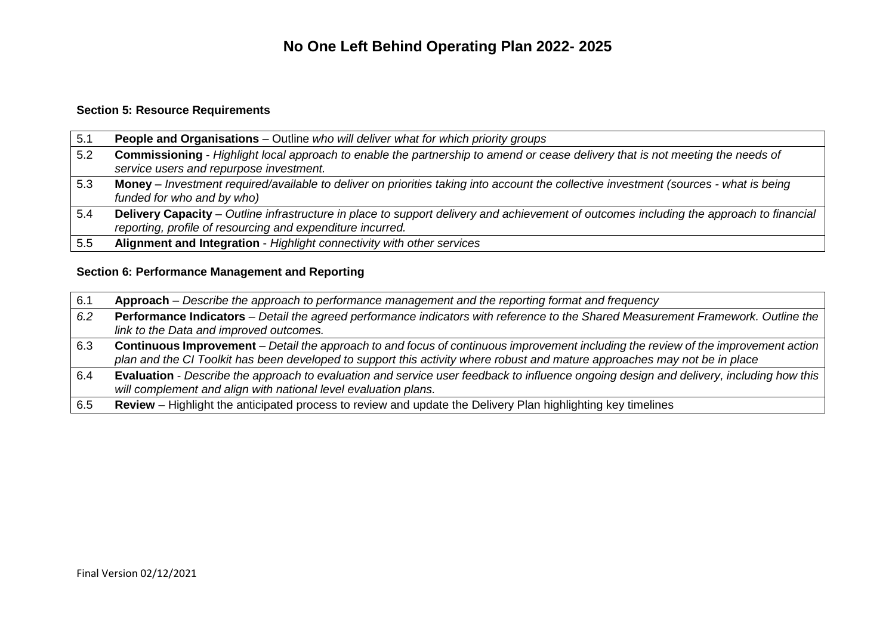### **Section 5: Resource Requirements**

| 5.1 | <b>People and Organisations</b> – Outline who will deliver what for which priority groups                                                                                                             |  |  |  |
|-----|-------------------------------------------------------------------------------------------------------------------------------------------------------------------------------------------------------|--|--|--|
| 5.2 | Commissioning - Highlight local approach to enable the partnership to amend or cease delivery that is not meeting the needs of<br>service users and repurpose investment.                             |  |  |  |
| 5.3 | Money – Investment required/available to deliver on priorities taking into account the collective investment (sources - what is being<br>funded for who and by who)                                   |  |  |  |
| 5.4 | Delivery Capacity – Outline infrastructure in place to support delivery and achievement of outcomes including the approach to financial<br>reporting, profile of resourcing and expenditure incurred. |  |  |  |
| 5.5 | Alignment and Integration - Highlight connectivity with other services                                                                                                                                |  |  |  |

#### **Section 6: Performance Management and Reporting**

| 6.1 | Approach – Describe the approach to performance management and the reporting format and frequency                                                                                                                                                                       |
|-----|-------------------------------------------------------------------------------------------------------------------------------------------------------------------------------------------------------------------------------------------------------------------------|
| 6.2 | Performance Indicators - Detail the agreed performance indicators with reference to the Shared Measurement Framework. Outline the<br>link to the Data and improved outcomes.                                                                                            |
| 6.3 | <b>Continuous Improvement</b> – Detail the approach to and focus of continuous improvement including the review of the improvement action<br>plan and the CI Toolkit has been developed to support this activity where robust and mature approaches may not be in place |
| 6.4 | Evaluation - Describe the approach to evaluation and service user feedback to influence ongoing design and delivery, including how this<br>will complement and align with national level evaluation plans.                                                              |
| 6.5 | Review - Highlight the anticipated process to review and update the Delivery Plan highlighting key timelines                                                                                                                                                            |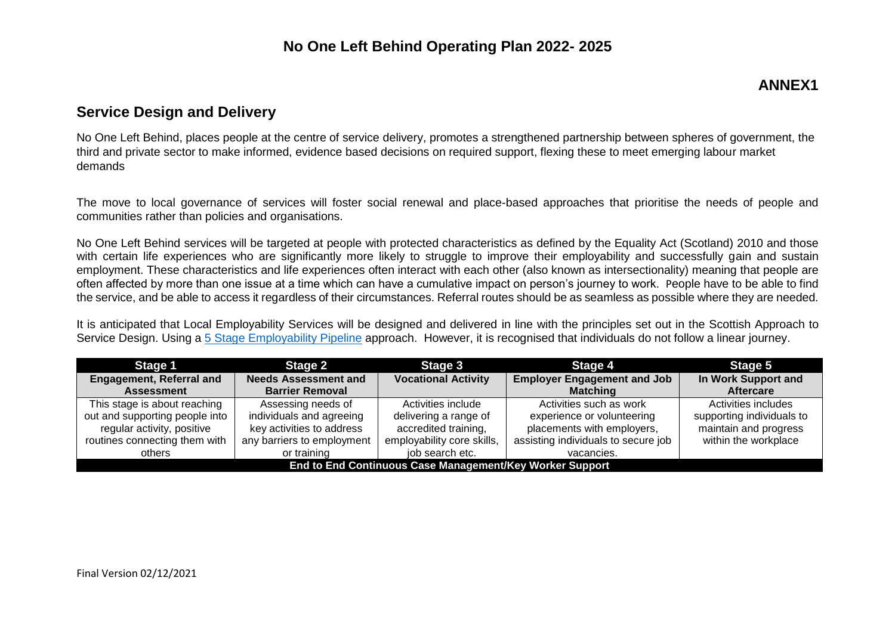## **ANNEX1**

## **Service Design and Delivery**

No One Left Behind, places people at the centre of service delivery, promotes a strengthened partnership between spheres of government, the third and private sector to make informed, evidence based decisions on required support, flexing these to meet emerging labour market demands

The move to local governance of services will foster social renewal and place-based approaches that prioritise the needs of people and communities rather than policies and organisations.

No One Left Behind services will be targeted at people with protected characteristics as defined by the Equality Act (Scotland) 2010 and those with certain life experiences who are significantly more likely to struggle to improve their employability and successfully gain and sustain employment. These characteristics and life experiences often interact with each other (also known as intersectionality) meaning that people are often affected by more than one issue at a time which can have a cumulative impact on person's journey to work. People have to be able to find the service, and be able to access it regardless of their circumstances. Referral routes should be as seamless as possible where they are needed.

It is anticipated that Local Employability Services will be designed and delivered in line with the principles set out in the Scottish Approach to Service Design. Using a [5 Stage Employability Pipeline](https://www.employabilityinscotland.com/resources-for-partners/the-employability-pipeline/1/) approach. However, it is recognised that individuals do not follow a linear journey.

| Stage 2<br>Stage 1                                       |                             | Stage 3                    | Stage 4                             | Stage 5                   |
|----------------------------------------------------------|-----------------------------|----------------------------|-------------------------------------|---------------------------|
| <b>Engagement, Referral and</b>                          | <b>Needs Assessment and</b> | <b>Vocational Activity</b> | <b>Employer Engagement and Job</b>  | In Work Support and       |
| <b>Assessment</b>                                        | <b>Barrier Removal</b>      |                            | <b>Matching</b>                     | <b>Aftercare</b>          |
| This stage is about reaching                             | Assessing needs of          | Activities include         | Activities such as work             | Activities includes       |
| out and supporting people into                           | individuals and agreeing    | delivering a range of      | experience or volunteering          | supporting individuals to |
| regular activity, positive                               | key activities to address   | accredited training,       | placements with employers,          | maintain and progress     |
| routines connecting them with                            | any barriers to employment  | employability core skills, | assisting individuals to secure job | within the workplace      |
| others                                                   | or training                 | job search etc.            | vacancies.                          |                           |
| End to End Continuous Case Management/Key Worker Support |                             |                            |                                     |                           |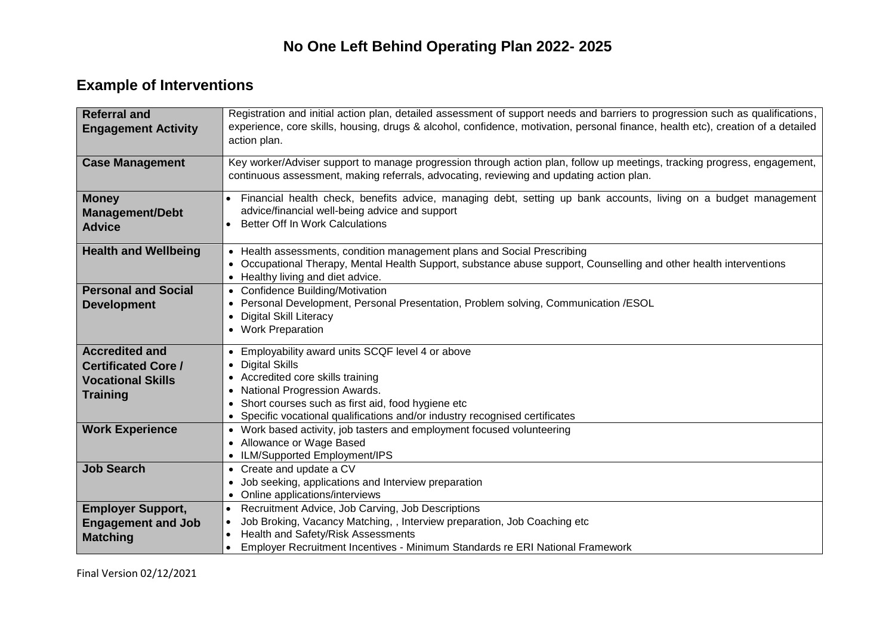# **Example of Interventions**

| <b>Referral and</b><br><b>Engagement Activity</b> | Registration and initial action plan, detailed assessment of support needs and barriers to progression such as qualifications,<br>experience, core skills, housing, drugs & alcohol, confidence, motivation, personal finance, health etc), creation of a detailed |  |  |  |  |  |
|---------------------------------------------------|--------------------------------------------------------------------------------------------------------------------------------------------------------------------------------------------------------------------------------------------------------------------|--|--|--|--|--|
|                                                   | action plan.                                                                                                                                                                                                                                                       |  |  |  |  |  |
| <b>Case Management</b>                            | Key worker/Adviser support to manage progression through action plan, follow up meetings, tracking progress, engagement,<br>continuous assessment, making referrals, advocating, reviewing and updating action plan.                                               |  |  |  |  |  |
| <b>Money</b>                                      | Financial health check, benefits advice, managing debt, setting up bank accounts, living on a budget management                                                                                                                                                    |  |  |  |  |  |
| <b>Management/Debt</b>                            | advice/financial well-being advice and support<br><b>Better Off In Work Calculations</b>                                                                                                                                                                           |  |  |  |  |  |
| <b>Advice</b>                                     |                                                                                                                                                                                                                                                                    |  |  |  |  |  |
| <b>Health and Wellbeing</b>                       | • Health assessments, condition management plans and Social Prescribing                                                                                                                                                                                            |  |  |  |  |  |
|                                                   | Occupational Therapy, Mental Health Support, substance abuse support, Counselling and other health interventions<br>$\bullet$                                                                                                                                      |  |  |  |  |  |
| <b>Personal and Social</b>                        | • Healthy living and diet advice.<br>• Confidence Building/Motivation                                                                                                                                                                                              |  |  |  |  |  |
| <b>Development</b>                                | • Personal Development, Personal Presentation, Problem solving, Communication /ESOL                                                                                                                                                                                |  |  |  |  |  |
|                                                   | <b>Digital Skill Literacy</b><br>$\bullet$                                                                                                                                                                                                                         |  |  |  |  |  |
|                                                   | • Work Preparation                                                                                                                                                                                                                                                 |  |  |  |  |  |
| <b>Accredited and</b>                             | • Employability award units SCQF level 4 or above                                                                                                                                                                                                                  |  |  |  |  |  |
| <b>Certificated Core /</b>                        | • Digital Skills                                                                                                                                                                                                                                                   |  |  |  |  |  |
| <b>Vocational Skills</b>                          | • Accredited core skills training                                                                                                                                                                                                                                  |  |  |  |  |  |
| <b>Training</b>                                   | • National Progression Awards.                                                                                                                                                                                                                                     |  |  |  |  |  |
|                                                   | Short courses such as first aid, food hygiene etc<br>$\bullet$<br>Specific vocational qualifications and/or industry recognised certificates<br>$\bullet$                                                                                                          |  |  |  |  |  |
| <b>Work Experience</b>                            | • Work based activity, job tasters and employment focused volunteering                                                                                                                                                                                             |  |  |  |  |  |
|                                                   | • Allowance or Wage Based                                                                                                                                                                                                                                          |  |  |  |  |  |
|                                                   | • ILM/Supported Employment/IPS                                                                                                                                                                                                                                     |  |  |  |  |  |
| <b>Job Search</b>                                 | • Create and update a CV                                                                                                                                                                                                                                           |  |  |  |  |  |
|                                                   | Job seeking, applications and Interview preparation                                                                                                                                                                                                                |  |  |  |  |  |
|                                                   | • Online applications/interviews                                                                                                                                                                                                                                   |  |  |  |  |  |
| <b>Employer Support,</b>                          | Recruitment Advice, Job Carving, Job Descriptions<br>Job Broking, Vacancy Matching, , Interview preparation, Job Coaching etc                                                                                                                                      |  |  |  |  |  |
| <b>Engagement and Job</b>                         | Health and Safety/Risk Assessments                                                                                                                                                                                                                                 |  |  |  |  |  |
| <b>Matching</b>                                   | Employer Recruitment Incentives - Minimum Standards re ERI National Framework                                                                                                                                                                                      |  |  |  |  |  |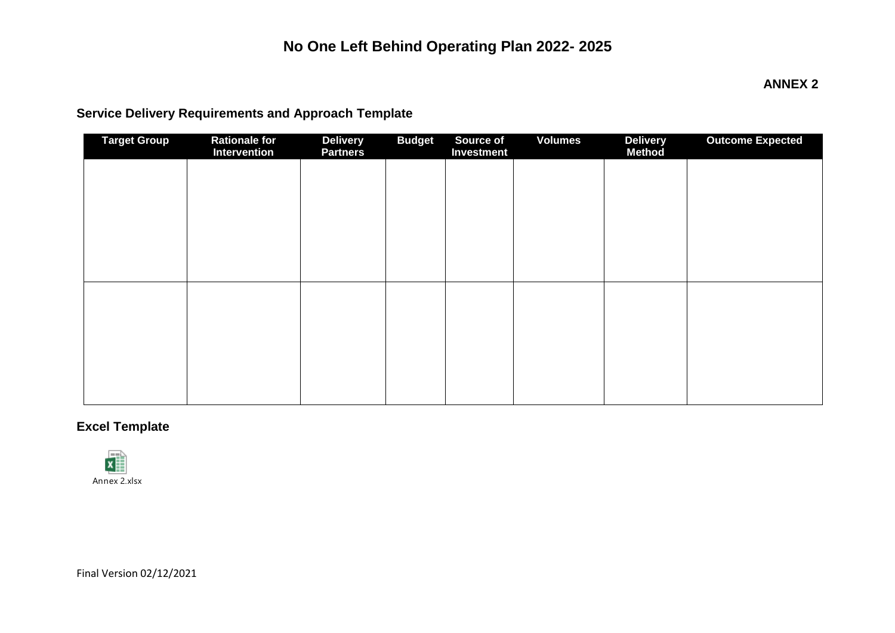#### **ANNEX 2**

# **Service Delivery Requirements and Approach Template**

| <b>Target Group</b> | Rationale for<br>Intervention | <b>Delivery</b><br><b>Partners</b> | <b>Budget</b> | Source of<br>Investment | <b>Volumes</b> | <b>Delivery</b><br><b>Method</b> | <b>Outcome Expected</b> |
|---------------------|-------------------------------|------------------------------------|---------------|-------------------------|----------------|----------------------------------|-------------------------|
|                     |                               |                                    |               |                         |                |                                  |                         |
|                     |                               |                                    |               |                         |                |                                  |                         |
|                     |                               |                                    |               |                         |                |                                  |                         |
|                     |                               |                                    |               |                         |                |                                  |                         |
|                     |                               |                                    |               |                         |                |                                  |                         |
|                     |                               |                                    |               |                         |                |                                  |                         |
|                     |                               |                                    |               |                         |                |                                  |                         |
|                     |                               |                                    |               |                         |                |                                  |                         |
|                     |                               |                                    |               |                         |                |                                  |                         |
|                     |                               |                                    |               |                         |                |                                  |                         |

### **Excel Template**